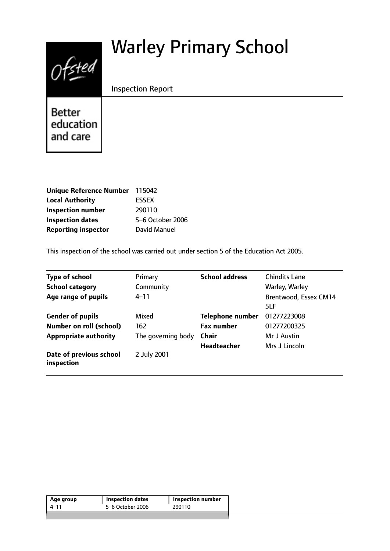# Warley Primary School



Inspection Report

**Better** education and care

| Unique Reference Number 115042 |                  |
|--------------------------------|------------------|
| <b>Local Authority</b>         | <b>ESSEX</b>     |
| <b>Inspection number</b>       | 290110           |
| <b>Inspection dates</b>        | 5-6 October 2006 |
| <b>Reporting inspector</b>     | David Manuel     |

This inspection of the school was carried out under section 5 of the Education Act 2005.

| <b>Type of school</b>                 | Primary            | <b>School address</b>   | <b>Chindits Lane</b>         |
|---------------------------------------|--------------------|-------------------------|------------------------------|
| <b>School category</b>                | Community          |                         | Warley, Warley               |
| Age range of pupils                   | $4 - 11$           |                         | Brentwood, Essex CM14<br>5LF |
| <b>Gender of pupils</b>               | Mixed              | <b>Telephone number</b> | 01277223008                  |
| <b>Number on roll (school)</b>        | 162                | <b>Fax number</b>       | 01277200325                  |
| <b>Appropriate authority</b>          | The governing body | <b>Chair</b>            | Mr J Austin                  |
|                                       |                    | <b>Headteacher</b>      | Mrs J Lincoln                |
| Date of previous school<br>inspection | 2 July 2001        |                         |                              |

| 5–6 October 2006<br>290110<br>4–11 | Age group | <b>Inspection dates</b> | Inspection number |  |
|------------------------------------|-----------|-------------------------|-------------------|--|
|                                    |           |                         |                   |  |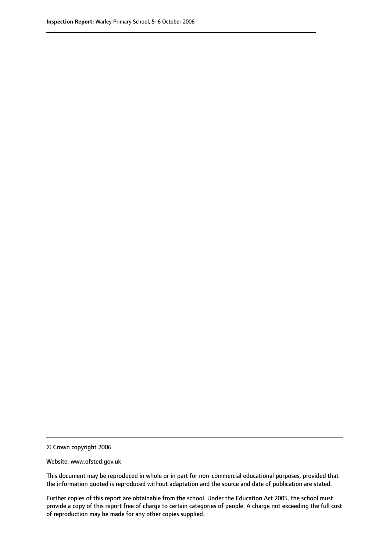© Crown copyright 2006

Website: www.ofsted.gov.uk

This document may be reproduced in whole or in part for non-commercial educational purposes, provided that the information quoted is reproduced without adaptation and the source and date of publication are stated.

Further copies of this report are obtainable from the school. Under the Education Act 2005, the school must provide a copy of this report free of charge to certain categories of people. A charge not exceeding the full cost of reproduction may be made for any other copies supplied.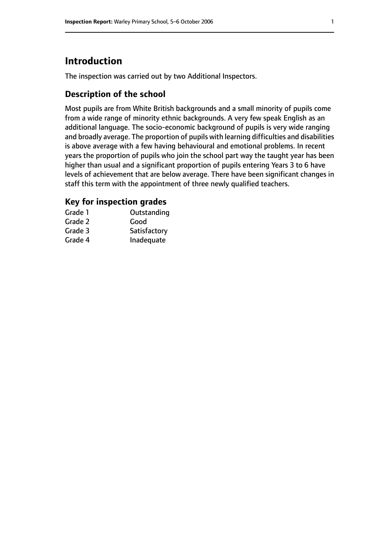# **Introduction**

The inspection was carried out by two Additional Inspectors.

## **Description of the school**

Most pupils are from White British backgrounds and a small minority of pupils come from a wide range of minority ethnic backgrounds. A very few speak English as an additional language. The socio-economic background of pupils is very wide ranging and broadly average. The proportion of pupils with learning difficulties and disabilities is above average with a few having behavioural and emotional problems. In recent years the proportion of pupils who join the school part way the taught year has been higher than usual and a significant proportion of pupils entering Years 3 to 6 have levels of achievement that are below average. There have been significant changes in staff this term with the appointment of three newly qualified teachers.

## **Key for inspection grades**

| Grade 1 | Outstanding  |
|---------|--------------|
| Grade 2 | Good         |
| Grade 3 | Satisfactory |
| Grade 4 | Inadequate   |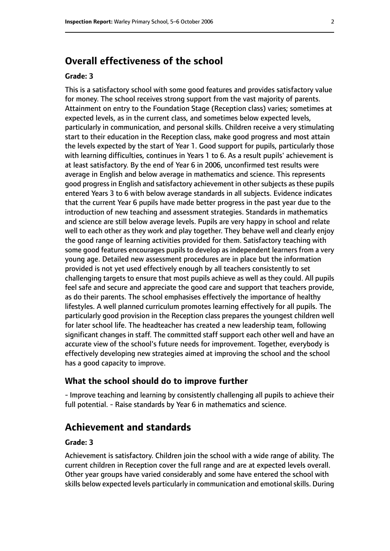# **Overall effectiveness of the school**

#### **Grade: 3**

This is a satisfactory school with some good features and provides satisfactory value for money. The school receives strong support from the vast majority of parents. Attainment on entry to the Foundation Stage (Reception class) varies; sometimes at expected levels, as in the current class, and sometimes below expected levels, particularly in communication, and personal skills. Children receive a very stimulating start to their education in the Reception class, make good progress and most attain the levels expected by the start of Year 1. Good support for pupils, particularly those with learning difficulties, continues in Years 1 to 6. As a result pupils' achievement is at least satisfactory. By the end of Year 6 in 2006, unconfirmed test results were average in English and below average in mathematics and science. This represents good progress in English and satisfactory achievement in other subjects as these pupils entered Years 3 to 6 with below average standards in all subjects. Evidence indicates that the current Year 6 pupils have made better progress in the past year due to the introduction of new teaching and assessment strategies. Standards in mathematics and science are still below average levels. Pupils are very happy in school and relate well to each other as they work and play together. They behave well and clearly enjoy the good range of learning activities provided for them. Satisfactory teaching with some good features encourages pupils to develop as independent learners from a very young age. Detailed new assessment procedures are in place but the information provided is not yet used effectively enough by all teachers consistently to set challenging targets to ensure that most pupils achieve as well as they could. All pupils feel safe and secure and appreciate the good care and support that teachers provide, as do their parents. The school emphasises effectively the importance of healthy lifestyles. A well planned curriculum promotes learning effectively for all pupils. The particularly good provision in the Reception class prepares the youngest children well for later school life. The headteacher has created a new leadership team, following significant changes in staff. The committed staff support each other well and have an accurate view of the school's future needs for improvement. Together, everybody is effectively developing new strategies aimed at improving the school and the school has a good capacity to improve.

#### **What the school should do to improve further**

- Improve teaching and learning by consistently challenging all pupils to achieve their full potential. - Raise standards by Year 6 in mathematics and science.

# **Achievement and standards**

#### **Grade: 3**

Achievement is satisfactory. Children join the school with a wide range of ability. The current children in Reception cover the full range and are at expected levels overall. Other year groups have varied considerably and some have entered the school with skills below expected levels particularly in communication and emotional skills. During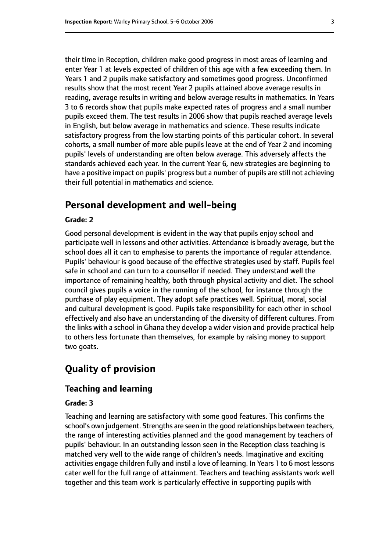their time in Reception, children make good progress in most areas of learning and enter Year 1 at levels expected of children of this age with a few exceeding them. In Years 1 and 2 pupils make satisfactory and sometimes good progress. Unconfirmed results show that the most recent Year 2 pupils attained above average results in reading, average results in writing and below average results in mathematics. In Years 3 to 6 records show that pupils make expected rates of progress and a small number pupils exceed them. The test results in 2006 show that pupils reached average levels in English, but below average in mathematics and science. These results indicate satisfactory progress from the low starting points of this particular cohort. In several cohorts, a small number of more able pupils leave at the end of Year 2 and incoming pupils' levels of understanding are often below average. This adversely affects the standards achieved each year. In the current Year 6, new strategies are beginning to have a positive impact on pupils' progress but a number of pupils are still not achieving their full potential in mathematics and science.

# **Personal development and well-being**

#### **Grade: 2**

Good personal development is evident in the way that pupils enjoy school and participate well in lessons and other activities. Attendance is broadly average, but the school does all it can to emphasise to parents the importance of regular attendance. Pupils' behaviour is good because of the effective strategies used by staff. Pupils feel safe in school and can turn to a counsellor if needed. They understand well the importance of remaining healthy, both through physical activity and diet. The school council gives pupils a voice in the running of the school, for instance through the purchase of play equipment. They adopt safe practices well. Spiritual, moral, social and cultural development is good. Pupils take responsibility for each other in school effectively and also have an understanding of the diversity of different cultures. From the links with a school in Ghana they develop a wider vision and provide practical help to others less fortunate than themselves, for example by raising money to support two goats.

# **Quality of provision**

#### **Teaching and learning**

#### **Grade: 3**

Teaching and learning are satisfactory with some good features. This confirms the school's own judgement. Strengths are seen in the good relationships between teachers, the range of interesting activities planned and the good management by teachers of pupils' behaviour. In an outstanding lesson seen in the Reception class teaching is matched very well to the wide range of children's needs. Imaginative and exciting activities engage children fully and instil a love of learning. In Years 1 to 6 most lessons cater well for the full range of attainment. Teachers and teaching assistants work well together and this team work is particularly effective in supporting pupils with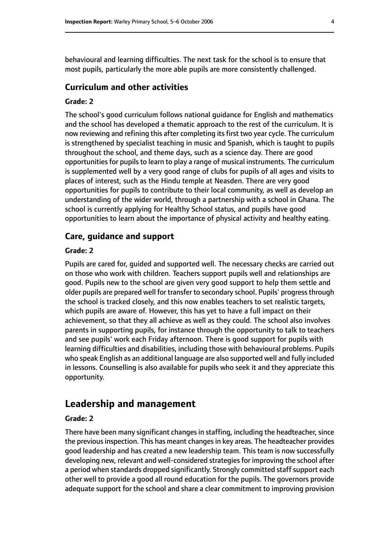behavioural and learning difficulties. The next task for the school is to ensure that most pupils, particularly the more able pupils are more consistently challenged.

#### **Curriculum and other activities**

#### **Grade: 2**

The school's good curriculum follows national guidance for English and mathematics and the school has developed a thematic approach to the rest of the curriculum. It is now reviewing and refining this after completing its first two year cycle. The curriculum is strengthened by specialist teaching in music and Spanish, which is taught to pupils throughout the school, and theme days, such as a science day. There are good opportunities for pupils to learn to play a range of musical instruments. The curriculum is supplemented well by a very good range of clubs for pupils of all ages and visits to places of interest, such as the Hindu temple at Neasden. There are very good opportunities for pupils to contribute to their local community, as well as develop an understanding of the wider world, through a partnership with a school in Ghana. The school is currently applying for Healthy School status, and pupils have good opportunities to learn about the importance of physical activity and healthy eating.

#### **Care, guidance and support**

#### **Grade: 2**

Pupils are cared for, guided and supported well. The necessary checks are carried out on those who work with children. Teachers support pupils well and relationships are good. Pupils new to the school are given very good support to help them settle and older pupils are prepared well for transfer to secondary school. Pupils' progress through the school is tracked closely, and this now enables teachers to set realistic targets, which pupils are aware of. However, this has yet to have a full impact on their achievement, so that they all achieve as well as they could. The school also involves parents in supporting pupils, for instance through the opportunity to talk to teachers and see pupils' work each Friday afternoon. There is good support for pupils with learning difficulties and disabilities, including those with behavioural problems. Pupils who speak English as an additional language are also supported well and fully included in lessons. Counselling is also available for pupils who seek it and they appreciate this opportunity.

## **Leadership and management**

#### **Grade: 2**

There have been many significant changes in staffing, including the headteacher, since the previous inspection. This has meant changes in key areas. The headteacher provides good leadership and has created a new leadership team. This team is now successfully developing new, relevant and well-considered strategies for improving the school after a period when standards dropped significantly. Strongly committed staff support each other well to provide a good all round education for the pupils. The governors provide adequate support for the school and share a clear commitment to improving provision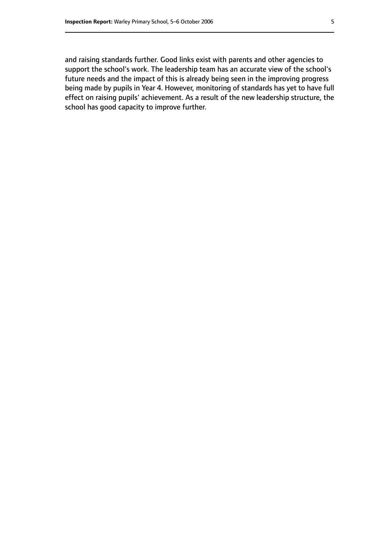and raising standards further. Good links exist with parents and other agencies to support the school's work. The leadership team has an accurate view of the school's future needs and the impact of this is already being seen in the improving progress being made by pupils in Year 4. However, monitoring of standards has yet to have full effect on raising pupils' achievement. As a result of the new leadership structure, the school has good capacity to improve further.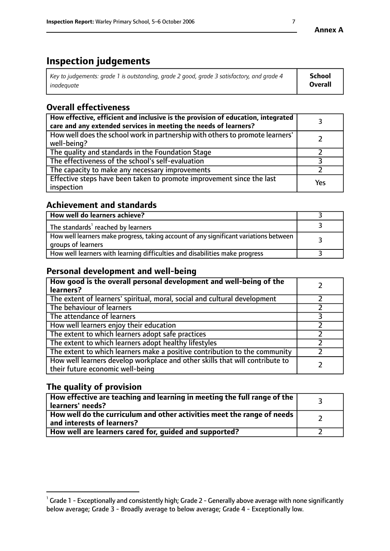# **Inspection judgements**

| $\vert$ Key to judgements: grade 1 is outstanding, grade 2 good, grade 3 satisfactory, and grade 4 | School         |
|----------------------------------------------------------------------------------------------------|----------------|
| inadeauate                                                                                         | <b>Overall</b> |

# **Overall effectiveness**

| How effective, efficient and inclusive is the provision of education, integrated<br>care and any extended services in meeting the needs of learners? |     |
|------------------------------------------------------------------------------------------------------------------------------------------------------|-----|
| How well does the school work in partnership with others to promote learners'<br>well-being?                                                         |     |
| The quality and standards in the Foundation Stage                                                                                                    |     |
| The effectiveness of the school's self-evaluation                                                                                                    |     |
| The capacity to make any necessary improvements                                                                                                      |     |
| Effective steps have been taken to promote improvement since the last<br>inspection                                                                  | Yes |

# **Achievement and standards**

| How well do learners achieve?                                                                               |  |
|-------------------------------------------------------------------------------------------------------------|--|
| The standards <sup>1</sup> reached by learners                                                              |  |
| How well learners make progress, taking account of any significant variations between<br>groups of learners |  |
| How well learners with learning difficulties and disabilities make progress                                 |  |

## **Personal development and well-being**

| How good is the overall personal development and well-being of the<br>learners?                                  |  |
|------------------------------------------------------------------------------------------------------------------|--|
| The extent of learners' spiritual, moral, social and cultural development                                        |  |
| The behaviour of learners                                                                                        |  |
| The attendance of learners                                                                                       |  |
| How well learners enjoy their education                                                                          |  |
| The extent to which learners adopt safe practices                                                                |  |
| The extent to which learners adopt healthy lifestyles                                                            |  |
| The extent to which learners make a positive contribution to the community                                       |  |
| How well learners develop workplace and other skills that will contribute to<br>their future economic well-being |  |

# **The quality of provision**

| $\Box$ How effective are teaching and learning in meeting the full range of the $\Box$<br>  learners' needs?        |  |
|---------------------------------------------------------------------------------------------------------------------|--|
| $\mid$ How well do the curriculum and other activities meet the range of needs<br>$\mid$ and interests of learners? |  |
| How well are learners cared for, guided and supported?                                                              |  |

 $^1$  Grade 1 - Exceptionally and consistently high; Grade 2 - Generally above average with none significantly below average; Grade 3 - Broadly average to below average; Grade 4 - Exceptionally low.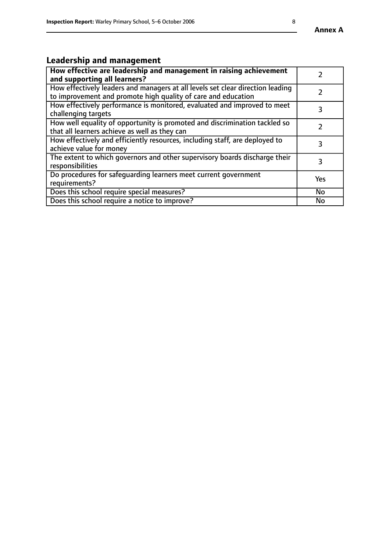# **Leadership and management**

| How effective are leadership and management in raising achievement<br>and supporting all learners?                                              |     |
|-------------------------------------------------------------------------------------------------------------------------------------------------|-----|
| How effectively leaders and managers at all levels set clear direction leading<br>to improvement and promote high quality of care and education |     |
| How effectively performance is monitored, evaluated and improved to meet<br>challenging targets                                                 | 3   |
| How well equality of opportunity is promoted and discrimination tackled so<br>that all learners achieve as well as they can                     |     |
| How effectively and efficiently resources, including staff, are deployed to<br>achieve value for money                                          | З   |
| The extent to which governors and other supervisory boards discharge their<br>responsibilities                                                  | 3   |
| Do procedures for safequarding learners meet current government<br>requirements?                                                                | Yes |
| Does this school require special measures?                                                                                                      | No  |
| Does this school require a notice to improve?                                                                                                   | No  |